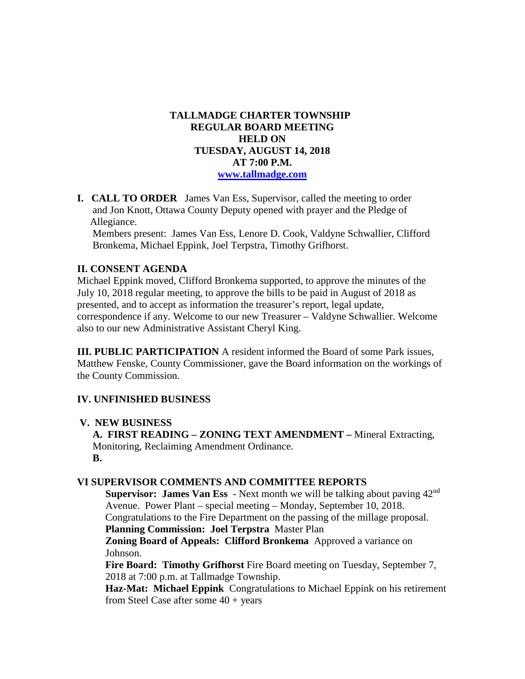### **TALLMADGE CHARTER TOWNSHIP REGULAR BOARD MEETING HELD ON TUESDAY, AUGUST 14, 2018 AT 7:00 P.M. [www.tallmadge.com](http://www.tallmadge.com/)**

**I. CALL TO ORDER** James Van Ess, Supervisor, called the meeting to order and Jon Knott, Ottawa County Deputy opened with prayer and the Pledge of Allegiance.

Members present: James Van Ess, Lenore D. Cook, Valdyne Schwallier, Clifford Bronkema, Michael Eppink, Joel Terpstra, Timothy Grifhorst.

### **II. CONSENT AGENDA**

Michael Eppink moved, Clifford Bronkema supported, to approve the minutes of the July 10, 2018 regular meeting, to approve the bills to be paid in August of 2018 as presented, and to accept as information the treasurer's report, legal update, correspondence if any. Welcome to our new Treasurer – Valdyne Schwallier. Welcome also to our new Administrative Assistant Cheryl King.

**III. PUBLIC PARTICIPATION** A resident informed the Board of some Park issues, Matthew Fenske, County Commissioner, gave the Board information on the workings of the County Commission.

### **IV. UNFINISHED BUSINESS**

#### **V. NEW BUSINESS**

 **A. FIRST READING – ZONING TEXT AMENDMENT –** Mineral Extracting, Monitoring, Reclaiming Amendment Ordinance. **B.** 

#### **VI SUPERVISOR COMMENTS AND COMMITTEE REPORTS**

**Supervisor: James Van Ess** - Next month we will be talking about paving 42<sup>nd</sup> Avenue. Power Plant – special meeting – Monday, September 10, 2018. Congratulations to the Fire Department on the passing of the millage proposal. **Planning Commission: Joel Terpstra** Master Plan

 **Zoning Board of Appeals: Clifford Bronkema** Approved a variance on Johnson.

 **Fire Board: Timothy Grifhorst** Fire Board meeting on Tuesday, September 7, 2018 at 7:00 p.m. at Tallmadge Township.

 **Haz-Mat: Michael Eppink** Congratulations to Michael Eppink on his retirement from Steel Case after some 40 + years